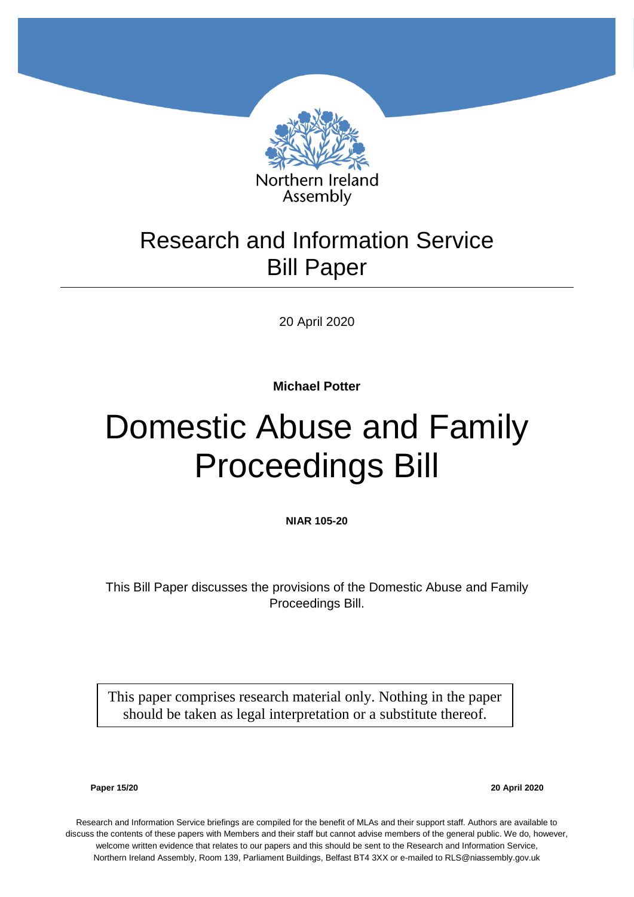

## Research and Information Service Bill Paper

20 April 2020

**Michael Potter**

# Domestic Abuse and Family Proceedings Bill

**NIAR 105-20**

This Bill Paper discusses the provisions of the Domestic Abuse and Family Proceedings Bill.

This paper comprises research material only. Nothing in the paper should be taken as legal interpretation or a substitute thereof.

**Paper 15/20 20 April 2020**

Research and Information Service briefings are compiled for the benefit of MLAs and their support staff. Authors are available to discuss the contents of these papers with Members and their staff but cannot advise members of the general public. We do, however, welcome written evidence that relates to our papers and this should be sent to the Research and Information Service, Northern Ireland Assembly, Room 139, Parliament Buildings, Belfast BT4 3XX or e-mailed to RLS@niassembly.gov.uk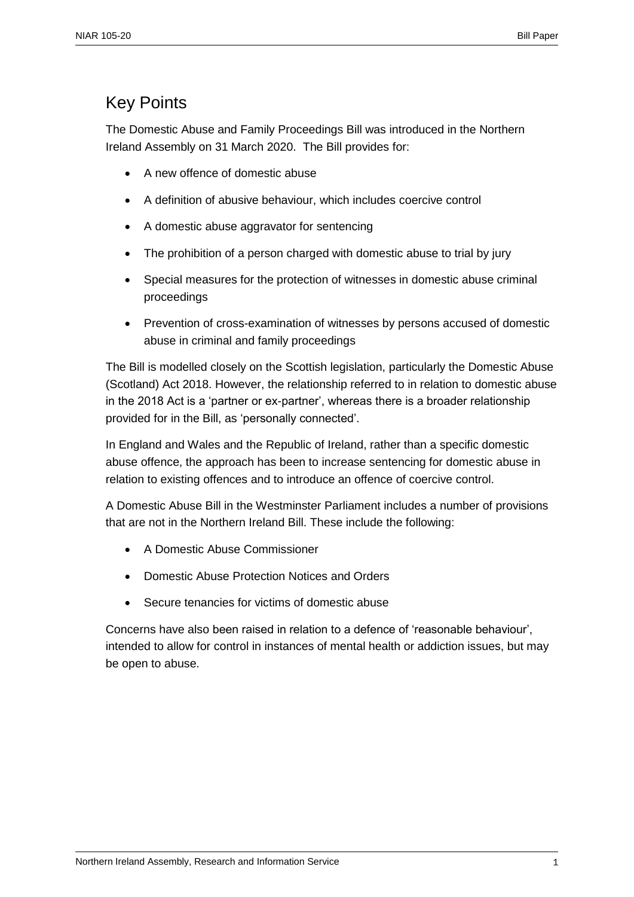## <span id="page-2-0"></span>Key Points

The Domestic Abuse and Family Proceedings Bill was introduced in the Northern Ireland Assembly on 31 March 2020. The Bill provides for:

- A new offence of domestic abuse
- A definition of abusive behaviour, which includes coercive control
- A domestic abuse aggravator for sentencing
- The prohibition of a person charged with domestic abuse to trial by jury
- Special measures for the protection of witnesses in domestic abuse criminal proceedings
- Prevention of cross-examination of witnesses by persons accused of domestic abuse in criminal and family proceedings

The Bill is modelled closely on the Scottish legislation, particularly the Domestic Abuse (Scotland) Act 2018. However, the relationship referred to in relation to domestic abuse in the 2018 Act is a 'partner or ex-partner', whereas there is a broader relationship provided for in the Bill, as 'personally connected'.

In England and Wales and the Republic of Ireland, rather than a specific domestic abuse offence, the approach has been to increase sentencing for domestic abuse in relation to existing offences and to introduce an offence of coercive control.

A Domestic Abuse Bill in the Westminster Parliament includes a number of provisions that are not in the Northern Ireland Bill. These include the following:

- A Domestic Abuse Commissioner
- Domestic Abuse Protection Notices and Orders
- Secure tenancies for victims of domestic abuse

Concerns have also been raised in relation to a defence of 'reasonable behaviour', intended to allow for control in instances of mental health or addiction issues, but may be open to abuse.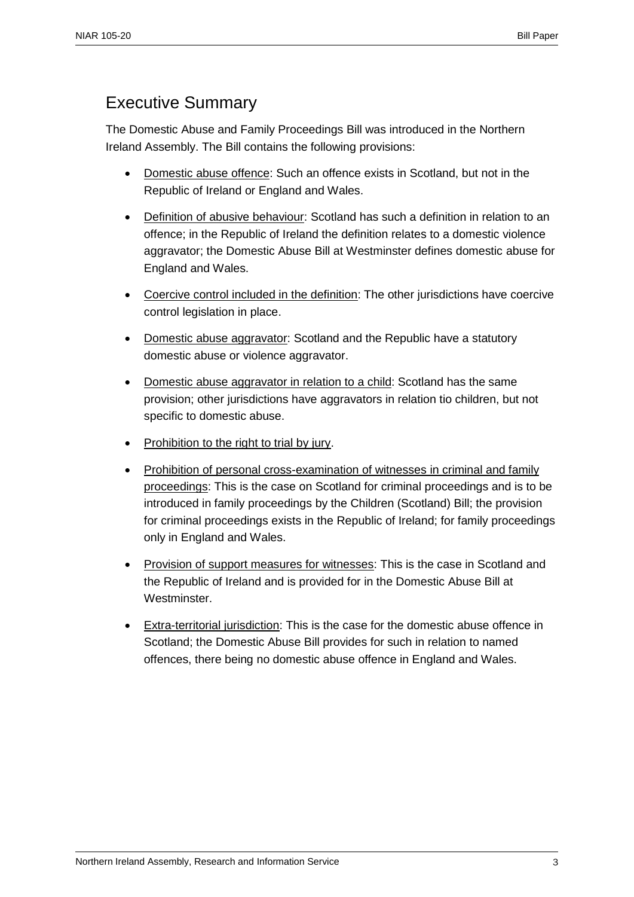## <span id="page-4-0"></span>Executive Summary

The Domestic Abuse and Family Proceedings Bill was introduced in the Northern Ireland Assembly. The Bill contains the following provisions:

- Domestic abuse offence: Such an offence exists in Scotland, but not in the Republic of Ireland or England and Wales.
- Definition of abusive behaviour: Scotland has such a definition in relation to an offence; in the Republic of Ireland the definition relates to a domestic violence aggravator; the Domestic Abuse Bill at Westminster defines domestic abuse for England and Wales.
- Coercive control included in the definition: The other jurisdictions have coercive control legislation in place.
- Domestic abuse aggravator: Scotland and the Republic have a statutory domestic abuse or violence aggravator.
- Domestic abuse aggravator in relation to a child: Scotland has the same provision; other jurisdictions have aggravators in relation tio children, but not specific to domestic abuse.
- Prohibition to the right to trial by jury.
- Prohibition of personal cross-examination of witnesses in criminal and family proceedings: This is the case on Scotland for criminal proceedings and is to be introduced in family proceedings by the Children (Scotland) Bill; the provision for criminal proceedings exists in the Republic of Ireland; for family proceedings only in England and Wales.
- Provision of support measures for witnesses: This is the case in Scotland and the Republic of Ireland and is provided for in the Domestic Abuse Bill at Westminster.
- Extra-territorial jurisdiction: This is the case for the domestic abuse offence in Scotland; the Domestic Abuse Bill provides for such in relation to named offences, there being no domestic abuse offence in England and Wales.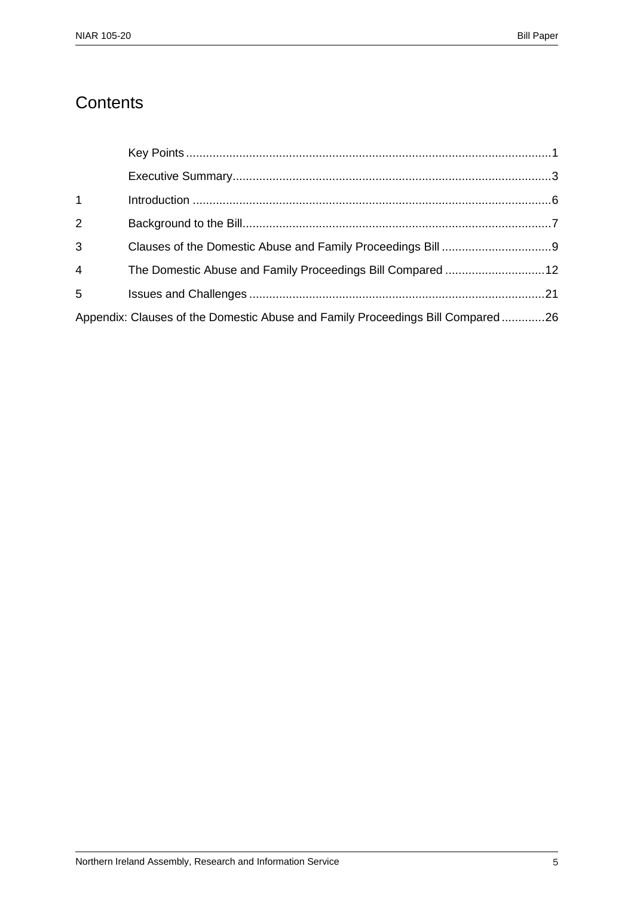## **Contents**

| $1 \quad$       |                                                                                |  |
|-----------------|--------------------------------------------------------------------------------|--|
| $\overline{2}$  |                                                                                |  |
| $\overline{3}$  |                                                                                |  |
| $4\overline{ }$ |                                                                                |  |
| $5^{\circ}$     |                                                                                |  |
|                 | Appendix: Clauses of the Domestic Abuse and Family Proceedings Bill Compared26 |  |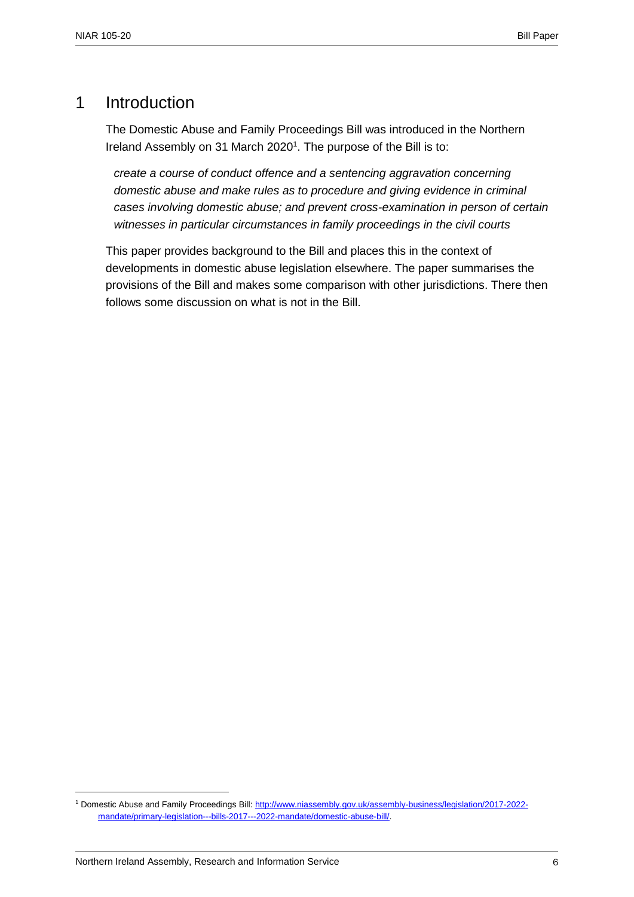## <span id="page-7-0"></span>1 Introduction

The Domestic Abuse and Family Proceedings Bill was introduced in the Northern Ireland Assembly on 31 March 2020<sup>1</sup>. The purpose of the Bill is to:

*create a course of conduct offence and a sentencing aggravation concerning domestic abuse and make rules as to procedure and giving evidence in criminal cases involving domestic abuse; and prevent cross-examination in person of certain witnesses in particular circumstances in family proceedings in the civil courts*

This paper provides background to the Bill and places this in the context of developments in domestic abuse legislation elsewhere. The paper summarises the provisions of the Bill and makes some comparison with other jurisdictions. There then follows some discussion on what is not in the Bill.

<sup>1</sup> Domestic Abuse and Family Proceedings Bill: [http://www.niassembly.gov.uk/assembly-business/legislation/2017-2022](http://www.niassembly.gov.uk/assembly-business/legislation/2017-2022-mandate/primary-legislation---bills-2017---2022-mandate/domestic-abuse-bill/) [mandate/primary-legislation---bills-2017---2022-mandate/domestic-abuse-bill/.](http://www.niassembly.gov.uk/assembly-business/legislation/2017-2022-mandate/primary-legislation---bills-2017---2022-mandate/domestic-abuse-bill/)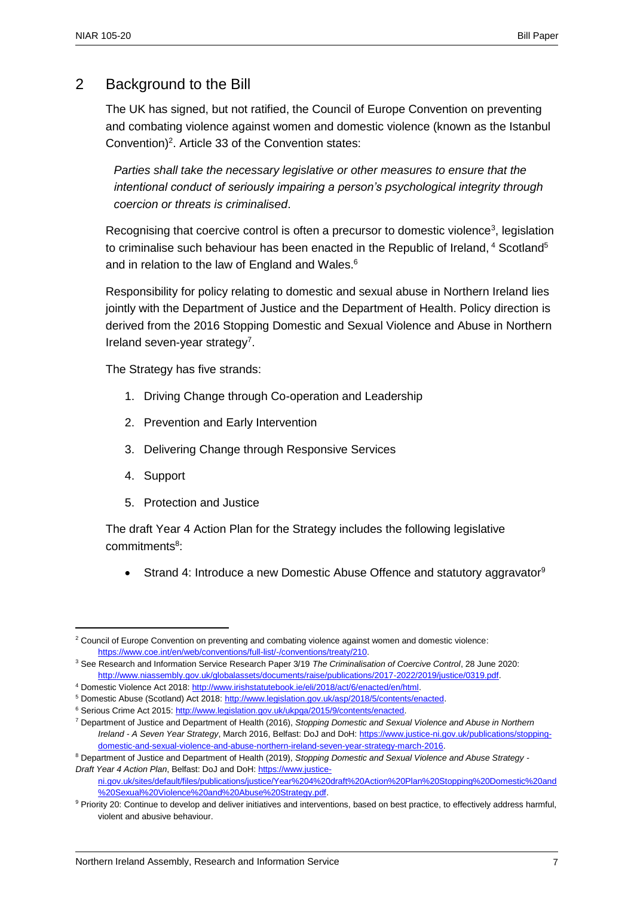## 2 Background to the Bill

The UK has signed, but not ratified, the Council of Europe Convention on preventing and combating violence against women and domestic violence (known as the Istanbul Convention)<sup>2</sup>. Article 33 of the Convention states:

*Parties shall take the necessary legislative or other measures to ensure that the intentional conduct of seriously impairing a person's psychological integrity through coercion or threats is criminalised*.

Recognising that coercive control is often a precursor to domestic violence<sup>3</sup>, legislation to criminalise such behaviour has been enacted in the Republic of Ireland,  $4$  Scotland<sup>5</sup> and in relation to the law of England and Wales.<sup>6</sup>

Responsibility for policy relating to domestic and sexual abuse in Northern Ireland lies jointly with the Department of Justice and the Department of Health. Policy direction is derived from the 2016 Stopping Domestic and Sexual Violence and Abuse in Northern Ireland seven-year strategy<sup>7</sup>.

The Strategy has five strands:

- 1. Driving Change through Co-operation and Leadership
- 2. Prevention and Early Intervention
- 3. Delivering Change through Responsive Services
- 4. Support

 $\overline{a}$ 

5. Protection and Justice

The draft Year 4 Action Plan for the Strategy includes the following legislative commitments<sup>8</sup>:

Strand 4: Introduce a new Domestic Abuse Offence and statutory aggravator<sup>9</sup>

<sup>4</sup> Domestic Violence Act 2018[: http://www.irishstatutebook.ie/eli/2018/act/6/enacted/en/html.](http://www.irishstatutebook.ie/eli/2018/act/6/enacted/en/html) 

<sup>&</sup>lt;sup>2</sup> Council of Europe Convention on preventing and combating violence against women and domestic violence: [https://www.coe.int/en/web/conventions/full-list/-/conventions/treaty/210.](https://www.coe.int/en/web/conventions/full-list/-/conventions/treaty/210) 

<sup>3</sup> See Research and Information Service Research Paper 3/19 *The Criminalisation of Coercive Control*, 28 June 2020: [http://www.niassembly.gov.uk/globalassets/documents/raise/publications/2017-2022/2019/justice/0319.pdf.](http://www.niassembly.gov.uk/globalassets/documents/raise/publications/2017-2022/2019/justice/0319.pdf) 

<sup>&</sup>lt;sup>5</sup> Domestic Abuse (Scotland) Act 2018: [http://www.legislation.gov.uk/asp/2018/5/contents/enacted.](http://www.legislation.gov.uk/asp/2018/5/contents/enacted)

<sup>&</sup>lt;sup>6</sup> Serious Crime Act 2015: [http://www.legislation.gov.uk/ukpga/2015/9/contents/enacted.](http://www.legislation.gov.uk/ukpga/2015/9/contents/enacted)

<sup>7</sup> Department of Justice and Department of Health (2016), *Stopping Domestic and Sexual Violence and Abuse in Northern Ireland - A Seven Year Strategy*, March 2016, Belfast: DoJ and DoH[: https://www.justice-ni.gov.uk/publications/stopping](https://www.justice-ni.gov.uk/publications/stopping-domestic-and-sexual-violence-and-abuse-northern-ireland-seven-year-strategy-march-2016)[domestic-and-sexual-violence-and-abuse-northern-ireland-seven-year-strategy-march-2016.](https://www.justice-ni.gov.uk/publications/stopping-domestic-and-sexual-violence-and-abuse-northern-ireland-seven-year-strategy-march-2016) 

<sup>8</sup> Department of Justice and Department of Health (2019), *Stopping Domestic and Sexual Violence and Abuse Strategy - Draft Year 4 Action Plan*, Belfast: DoJ and DoH[: https://www.justice-](https://www.justice-ni.gov.uk/sites/default/files/publications/justice/Year%204%20draft%20Action%20Plan%20Stopping%20Domestic%20and%20Sexual%20Violence%20and%20Abuse%20Strategy.pdf)

[ni.gov.uk/sites/default/files/publications/justice/Year%204%20draft%20Action%20Plan%20Stopping%20Domestic%20and](https://www.justice-ni.gov.uk/sites/default/files/publications/justice/Year%204%20draft%20Action%20Plan%20Stopping%20Domestic%20and%20Sexual%20Violence%20and%20Abuse%20Strategy.pdf) [%20Sexual%20Violence%20and%20Abuse%20Strategy.pdf.](https://www.justice-ni.gov.uk/sites/default/files/publications/justice/Year%204%20draft%20Action%20Plan%20Stopping%20Domestic%20and%20Sexual%20Violence%20and%20Abuse%20Strategy.pdf) 

<sup>9</sup> Priority 20: Continue to develop and deliver initiatives and interventions, based on best practice, to effectively address harmful, violent and abusive behaviour.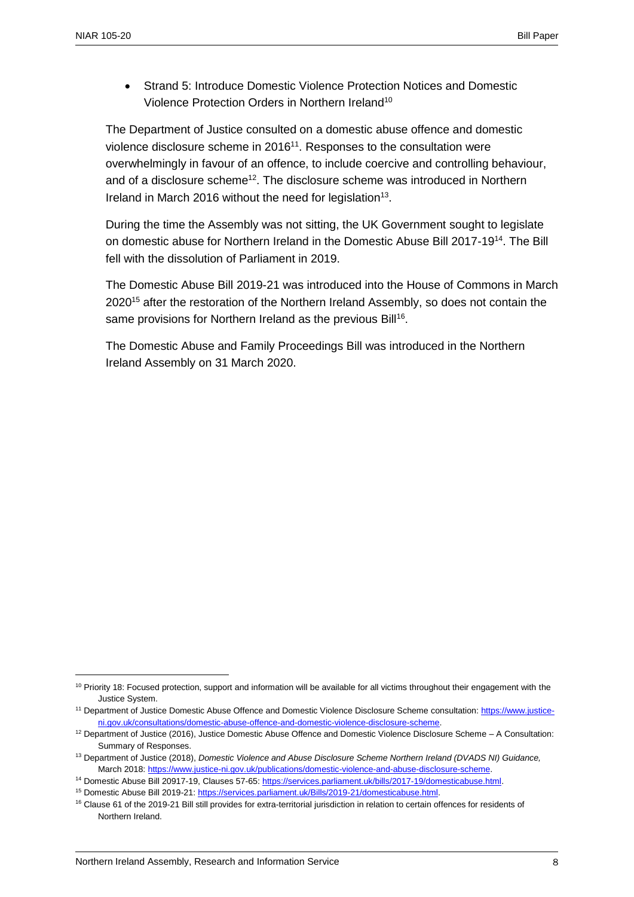$\overline{a}$ 

 Strand 5: Introduce Domestic Violence Protection Notices and Domestic Violence Protection Orders in Northern Ireland<sup>10</sup>

The Department of Justice consulted on a domestic abuse offence and domestic violence disclosure scheme in 2016<sup>11</sup>. Responses to the consultation were overwhelmingly in favour of an offence, to include coercive and controlling behaviour, and of a disclosure scheme<sup>12</sup>. The disclosure scheme was introduced in Northern Ireland in March 2016 without the need for legislation<sup>13</sup>.

During the time the Assembly was not sitting, the UK Government sought to legislate on domestic abuse for Northern Ireland in the Domestic Abuse Bill 2017-19<sup>14</sup>. The Bill fell with the dissolution of Parliament in 2019.

The Domestic Abuse Bill 2019-21 was introduced into the House of Commons in March 2020<sup>15</sup> after the restoration of the Northern Ireland Assembly, so does not contain the same provisions for Northern Ireland as the previous Bill<sup>16</sup>.

The Domestic Abuse and Family Proceedings Bill was introduced in the Northern Ireland Assembly on 31 March 2020.

<sup>&</sup>lt;sup>10</sup> Priority 18: Focused protection, support and information will be available for all victims throughout their engagement with the Justice System.

<sup>&</sup>lt;sup>11</sup> Department of Justice Domestic Abuse Offence and Domestic Violence Disclosure Scheme consultation: [https://www.justice](https://www.justice-ni.gov.uk/consultations/domestic-abuse-offence-and-domestic-violence-disclosure-scheme)[ni.gov.uk/consultations/domestic-abuse-offence-and-domestic-violence-disclosure-scheme.](https://www.justice-ni.gov.uk/consultations/domestic-abuse-offence-and-domestic-violence-disclosure-scheme)

<sup>&</sup>lt;sup>12</sup> Department of Justice (2016), Justice Domestic Abuse Offence and Domestic Violence Disclosure Scheme - A Consultation: Summary of Responses.

<sup>13</sup> Department of Justice (2018), *Domestic Violence and Abuse Disclosure Scheme Northern Ireland (DVADS NI) Guidance,* March 2018: [https://www.justice-ni.gov.uk/publications/domestic-violence-and-abuse-disclosure-scheme.](https://www.justice-ni.gov.uk/publications/domestic-violence-and-abuse-disclosure-scheme) 

<sup>14</sup> Domestic Abuse Bill 20917-19, Clauses 57-65[: https://services.parliament.uk/bills/2017-19/domesticabuse.html.](https://services.parliament.uk/bills/2017-19/domesticabuse.html)

<sup>15</sup> Domestic Abuse Bill 2019-21: [https://services.parliament.uk/Bills/2019-21/domesticabuse.html.](https://services.parliament.uk/Bills/2019-21/domesticabuse.html) 

<sup>&</sup>lt;sup>16</sup> Clause 61 of the 2019-21 Bill still provides for extra-territorial jurisdiction in relation to certain offences for residents of Northern Ireland.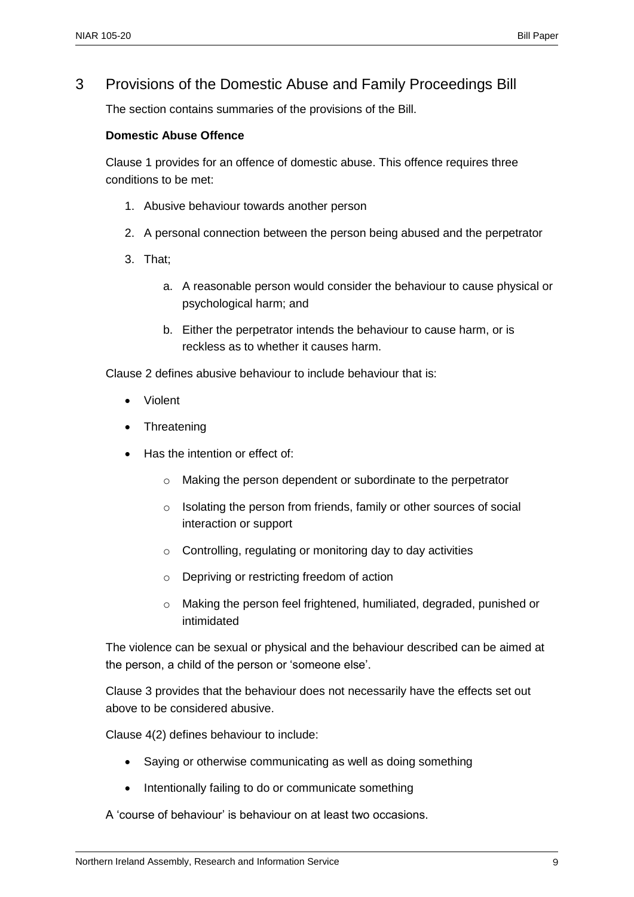## 3 Provisions of the Domestic Abuse and Family Proceedings Bill

The section contains summaries of the provisions of the Bill.

#### **Domestic Abuse Offence**

Clause 1 provides for an offence of domestic abuse. This offence requires three conditions to be met:

- 1. Abusive behaviour towards another person
- 2. A personal connection between the person being abused and the perpetrator
- 3. That;
	- a. A reasonable person would consider the behaviour to cause physical or psychological harm; and
	- b. Either the perpetrator intends the behaviour to cause harm, or is reckless as to whether it causes harm.

Clause 2 defines abusive behaviour to include behaviour that is:

- Violent
- Threatening
- Has the intention or effect of:
	- o Making the person dependent or subordinate to the perpetrator
	- o Isolating the person from friends, family or other sources of social interaction or support
	- o Controlling, regulating or monitoring day to day activities
	- o Depriving or restricting freedom of action
	- o Making the person feel frightened, humiliated, degraded, punished or intimidated

The violence can be sexual or physical and the behaviour described can be aimed at the person, a child of the person or 'someone else'.

Clause 3 provides that the behaviour does not necessarily have the effects set out above to be considered abusive.

Clause 4(2) defines behaviour to include:

- Saying or otherwise communicating as well as doing something
- Intentionally failing to do or communicate something

A 'course of behaviour' is behaviour on at least two occasions.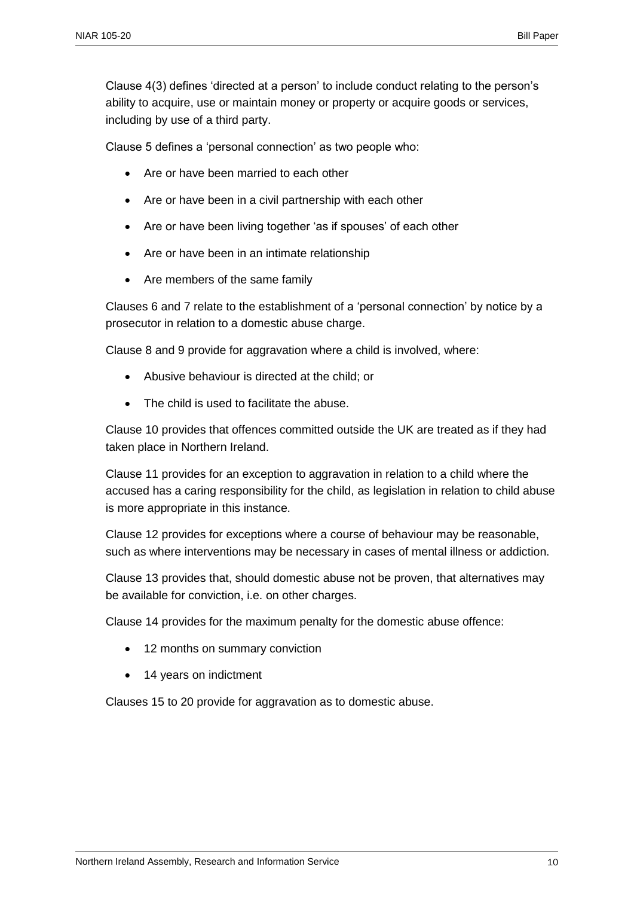Clause 4(3) defines 'directed at a person' to include conduct relating to the person's ability to acquire, use or maintain money or property or acquire goods or services, including by use of a third party.

Clause 5 defines a 'personal connection' as two people who:

- Are or have been married to each other
- Are or have been in a civil partnership with each other
- Are or have been living together 'as if spouses' of each other
- Are or have been in an intimate relationship
- Are members of the same family

Clauses 6 and 7 relate to the establishment of a 'personal connection' by notice by a prosecutor in relation to a domestic abuse charge.

Clause 8 and 9 provide for aggravation where a child is involved, where:

- Abusive behaviour is directed at the child; or
- The child is used to facilitate the abuse.

Clause 10 provides that offences committed outside the UK are treated as if they had taken place in Northern Ireland.

Clause 11 provides for an exception to aggravation in relation to a child where the accused has a caring responsibility for the child, as legislation in relation to child abuse is more appropriate in this instance.

Clause 12 provides for exceptions where a course of behaviour may be reasonable, such as where interventions may be necessary in cases of mental illness or addiction.

Clause 13 provides that, should domestic abuse not be proven, that alternatives may be available for conviction, i.e. on other charges.

Clause 14 provides for the maximum penalty for the domestic abuse offence:

- 12 months on summary conviction
- 14 years on indictment

Clauses 15 to 20 provide for aggravation as to domestic abuse.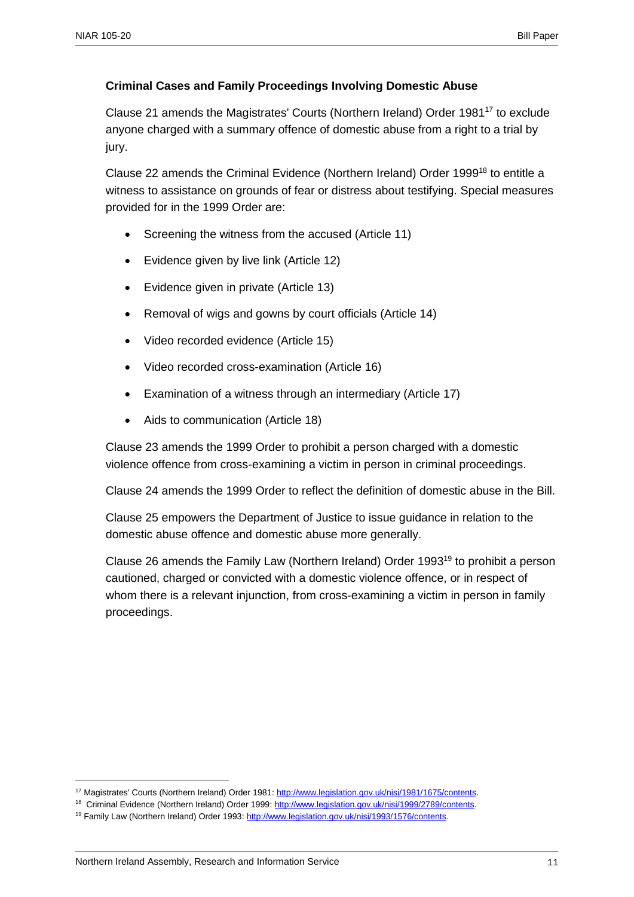#### **Criminal Cases and Family Proceedings Involving Domestic Abuse**

Clause 21 amends the Magistrates' Courts (Northern Ireland) Order 1981<sup>17</sup> to exclude anyone charged with a summary offence of domestic abuse from a right to a trial by jury.

Clause 22 amends the Criminal Evidence (Northern Ireland) Order 1999<sup>18</sup> to entitle a witness to assistance on grounds of fear or distress about testifying. Special measures provided for in the 1999 Order are:

- Screening the witness from the accused (Article 11)
- Evidence given by live link (Article 12)
- Evidence given in private (Article 13)
- Removal of wigs and gowns by court officials (Article 14)
- Video recorded evidence (Article 15)
- Video recorded cross-examination (Article 16)
- Examination of a witness through an intermediary (Article 17)
- Aids to communication (Article 18)

Clause 23 amends the 1999 Order to prohibit a person charged with a domestic violence offence from cross-examining a victim in person in criminal proceedings.

Clause 24 amends the 1999 Order to reflect the definition of domestic abuse in the Bill.

Clause 25 empowers the Department of Justice to issue guidance in relation to the domestic abuse offence and domestic abuse more generally.

Clause 26 amends the Family Law (Northern Ireland) Order 1993<sup>19</sup> to prohibit a person cautioned, charged or convicted with a domestic violence offence, or in respect of whom there is a relevant injunction, from cross-examining a victim in person in family proceedings.

<sup>17</sup> Magistrates' Courts (Northern Ireland) Order 1981: [http://www.legislation.gov.uk/nisi/1981/1675/contents.](http://www.legislation.gov.uk/nisi/1981/1675/contents) 

<sup>18</sup> Criminal Evidence (Northern Ireland) Order 1999: [http://www.legislation.gov.uk/nisi/1999/2789/contents.](http://www.legislation.gov.uk/nisi/1999/2789/contents) 

<sup>&</sup>lt;sup>19</sup> Family Law (Northern Ireland) Order 1993: http://www.legislation.gov.uk/nisi/1993/1576/contents.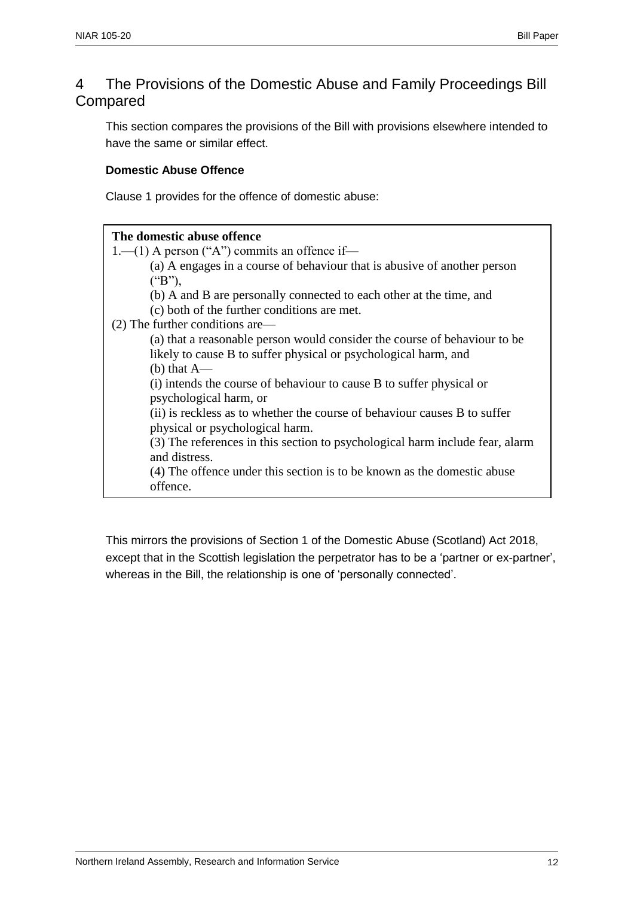## 4 The Provisions of the Domestic Abuse and Family Proceedings Bill Compared

This section compares the provisions of the Bill with provisions elsewhere intended to have the same or similar effect.

#### **Domestic Abuse Offence**

Clause 1 provides for the offence of domestic abuse:

#### **The domestic abuse offence**

1.—(1) A person ("A") commits an offence if—

(a) A engages in a course of behaviour that is abusive of another person ("B"),

(b) A and B are personally connected to each other at the time, and

(c) both of the further conditions are met.

(2) The further conditions are—

(a) that a reasonable person would consider the course of behaviour to be likely to cause B to suffer physical or psychological harm, and (b) that A—

(i) intends the course of behaviour to cause B to suffer physical or psychological harm, or

(ii) is reckless as to whether the course of behaviour causes B to suffer physical or psychological harm.

(3) The references in this section to psychological harm include fear, alarm and distress.

(4) The offence under this section is to be known as the domestic abuse offence.

This mirrors the provisions of Section 1 of the Domestic Abuse (Scotland) Act 2018, except that in the Scottish legislation the perpetrator has to be a 'partner or ex-partner', whereas in the Bill, the relationship is one of 'personally connected'.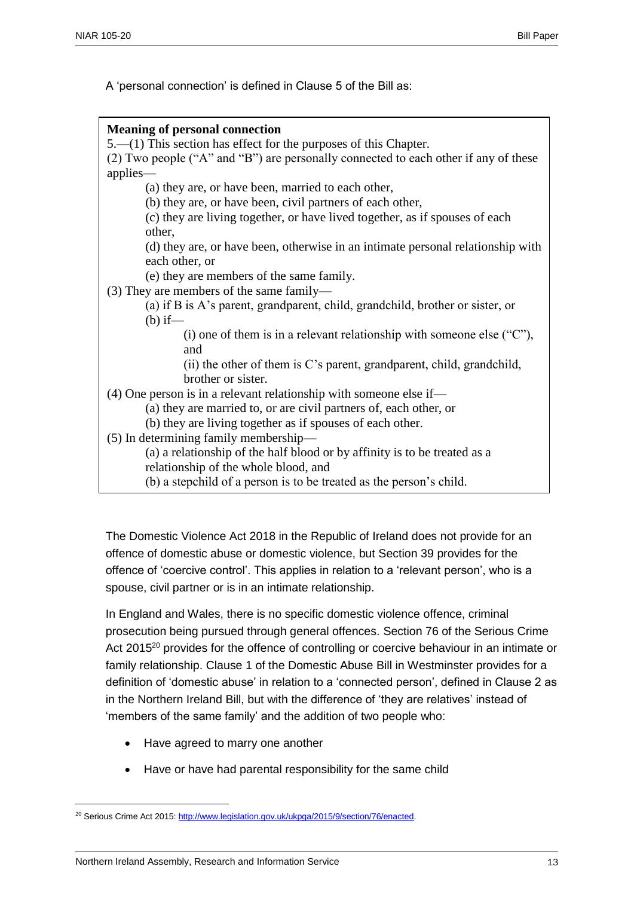A 'personal connection' is defined in Clause 5 of the Bill as:

| <b>Meaning of personal connection</b>                                               |
|-------------------------------------------------------------------------------------|
| $5.$ (1) This section has effect for the purposes of this Chapter.                  |
| (2) Two people ("A" and "B") are personally connected to each other if any of these |
| applies-                                                                            |
| (a) they are, or have been, married to each other,                                  |
| (b) they are, or have been, civil partners of each other,                           |
| (c) they are living together, or have lived together, as if spouses of each         |
| other,                                                                              |
| (d) they are, or have been, otherwise in an intimate personal relationship with     |
| each other, or                                                                      |
| (e) they are members of the same family.                                            |
| $(3)$ They are members of the same family—                                          |
| (a) if B is A's parent, grandparent, child, grandchild, brother or sister, or       |
| $(b)$ if—                                                                           |
| (i) one of them is in a relevant relationship with someone else $("C")$ ,           |
| and                                                                                 |
| (ii) the other of them is C's parent, grandparent, child, grandchild,               |
| brother or sister.                                                                  |
| $(4)$ One person is in a relevant relationship with someone else if—                |
| (a) they are married to, or are civil partners of, each other, or                   |
| (b) they are living together as if spouses of each other.                           |
| (5) In determining family membership—                                               |
| (a) a relationship of the half blood or by affinity is to be treated as a           |
| relationship of the whole blood, and                                                |
| (b) a stepchild of a person is to be treated as the person's child.                 |

The Domestic Violence Act 2018 in the Republic of Ireland does not provide for an offence of domestic abuse or domestic violence, but Section 39 provides for the offence of 'coercive control'. This applies in relation to a 'relevant person', who is a spouse, civil partner or is in an intimate relationship.

In England and Wales, there is no specific domestic violence offence, criminal prosecution being pursued through general offences. Section 76 of the Serious Crime Act 2015<sup>20</sup> provides for the offence of controlling or coercive behaviour in an intimate or family relationship. Clause 1 of the Domestic Abuse Bill in Westminster provides for a definition of 'domestic abuse' in relation to a 'connected person', defined in Clause 2 as in the Northern Ireland Bill, but with the difference of 'they are relatives' instead of 'members of the same family' and the addition of two people who:

- Have agreed to marry one another
- Have or have had parental responsibility for the same child

<sup>&</sup>lt;sup>20</sup> Serious Crime Act 2015[: http://www.legislation.gov.uk/ukpga/2015/9/section/76/enacted.](http://www.legislation.gov.uk/ukpga/2015/9/section/76/enacted)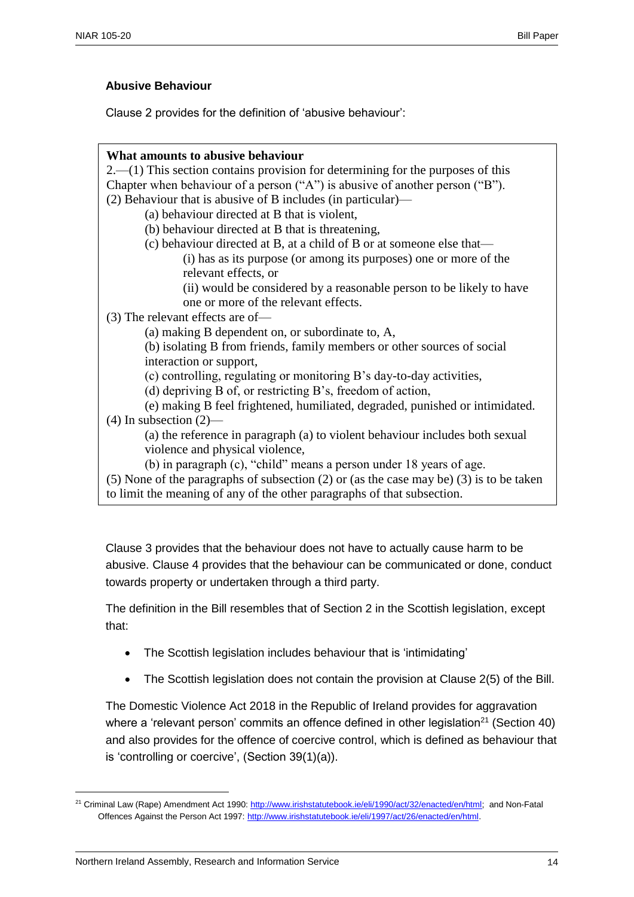#### **Abusive Behaviour**

Clause 2 provides for the definition of 'abusive behaviour':

| What amounts to abusive behaviour                                                             |
|-----------------------------------------------------------------------------------------------|
| $2.-(1)$ This section contains provision for determining for the purposes of this             |
| Chapter when behaviour of a person ("A") is abusive of another person ("B").                  |
| $(2)$ Behaviour that is abusive of B includes (in particular)—                                |
| (a) behaviour directed at B that is violent,                                                  |
| (b) behaviour directed at B that is threatening,                                              |
| (c) behaviour directed at B, at a child of B or at someone else that—                         |
| (i) has as its purpose (or among its purposes) one or more of the                             |
| relevant effects, or                                                                          |
| (ii) would be considered by a reasonable person to be likely to have                          |
| one or more of the relevant effects.                                                          |
| $(3)$ The relevant effects are of-                                                            |
| (a) making B dependent on, or subordinate to, A,                                              |
| (b) isolating B from friends, family members or other sources of social                       |
| interaction or support,                                                                       |
| (c) controlling, regulating or monitoring B's day-to-day activities,                          |
| (d) depriving B of, or restricting B's, freedom of action,                                    |
| (e) making B feel frightened, humiliated, degraded, punished or intimidated.                  |
| $(4)$ In subsection $(2)$ —                                                                   |
| (a) the reference in paragraph (a) to violent behaviour includes both sexual                  |
| violence and physical violence,                                                               |
| (b) in paragraph (c), "child" means a person under 18 years of age.                           |
| $(5)$ None of the paragraphs of subsection $(2)$ or (as the case may be) $(3)$ is to be taken |
| to limit the meaning of any of the other paragraphs of that subsection.                       |
|                                                                                               |
|                                                                                               |

Clause 3 provides that the behaviour does not have to actually cause harm to be abusive. Clause 4 provides that the behaviour can be communicated or done, conduct towards property or undertaken through a third party.

The definition in the Bill resembles that of Section 2 in the Scottish legislation, except that:

- The Scottish legislation includes behaviour that is 'intimidating'
- The Scottish legislation does not contain the provision at Clause 2(5) of the Bill.

The Domestic Violence Act 2018 in the Republic of Ireland provides for aggravation where a 'relevant person' commits an offence defined in other legislation<sup>21</sup> (Section 40) and also provides for the offence of coercive control, which is defined as behaviour that is 'controlling or coercive', (Section 39(1)(a)).

<sup>21</sup> Criminal Law (Rape) Amendment Act 1990[: http://www.irishstatutebook.ie/eli/1990/act/32/enacted/en/html;](http://www.irishstatutebook.ie/eli/1990/act/32/enacted/en/html) and Non-Fatal Offences Against the Person Act 1997: [http://www.irishstatutebook.ie/eli/1997/act/26/enacted/en/html.](http://www.irishstatutebook.ie/eli/1997/act/26/enacted/en/html)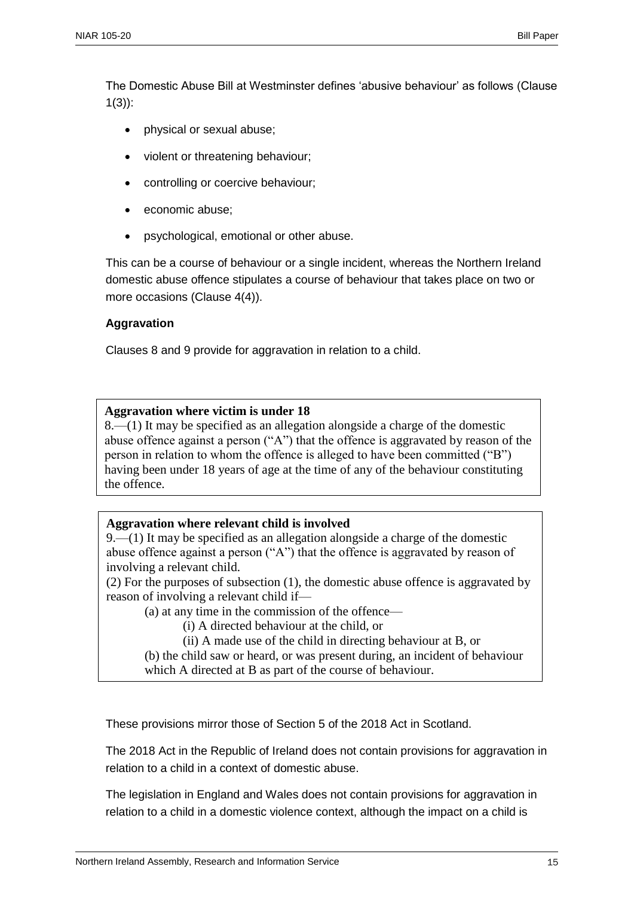The Domestic Abuse Bill at Westminster defines 'abusive behaviour' as follows (Clause 1(3)):

- physical or sexual abuse;
- violent or threatening behaviour;
- controlling or coercive behaviour;
- economic abuse;
- psychological, emotional or other abuse.

This can be a course of behaviour or a single incident, whereas the Northern Ireland domestic abuse offence stipulates a course of behaviour that takes place on two or more occasions (Clause 4(4)).

#### **Aggravation**

Clauses 8 and 9 provide for aggravation in relation to a child.

#### **Aggravation where victim is under 18**

8.—(1) It may be specified as an allegation alongside a charge of the domestic abuse offence against a person ("A") that the offence is aggravated by reason of the person in relation to whom the offence is alleged to have been committed ("B") having been under 18 years of age at the time of any of the behaviour constituting the offence.

#### **Aggravation where relevant child is involved**

9.—(1) It may be specified as an allegation alongside a charge of the domestic abuse offence against a person ("A") that the offence is aggravated by reason of involving a relevant child.

(2) For the purposes of subsection (1), the domestic abuse offence is aggravated by reason of involving a relevant child if—

(a) at any time in the commission of the offence—

(i) A directed behaviour at the child, or

(ii) A made use of the child in directing behaviour at B, or

(b) the child saw or heard, or was present during, an incident of behaviour which A directed at B as part of the course of behaviour.

These provisions mirror those of Section 5 of the 2018 Act in Scotland.

The 2018 Act in the Republic of Ireland does not contain provisions for aggravation in relation to a child in a context of domestic abuse.

The legislation in England and Wales does not contain provisions for aggravation in relation to a child in a domestic violence context, although the impact on a child is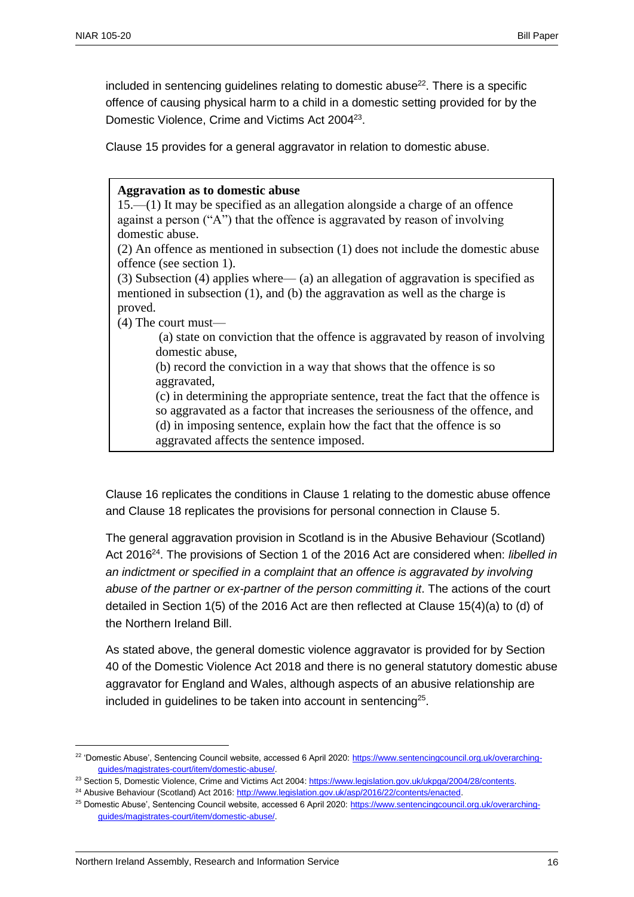included in sentencing guidelines relating to domestic abuse<sup>22</sup>. There is a specific offence of causing physical harm to a child in a domestic setting provided for by the Domestic Violence, Crime and Victims Act 2004<sup>23</sup>.

Clause 15 provides for a general aggravator in relation to domestic abuse.

#### **Aggravation as to domestic abuse**

15.—(1) It may be specified as an allegation alongside a charge of an offence against a person ("A") that the offence is aggravated by reason of involving domestic abuse.

(2) An offence as mentioned in subsection (1) does not include the domestic abuse offence (see section 1).

(3) Subsection (4) applies where— (a) an allegation of aggravation is specified as mentioned in subsection (1), and (b) the aggravation as well as the charge is proved.

(4) The court must—

(a) state on conviction that the offence is aggravated by reason of involving domestic abuse,

(b) record the conviction in a way that shows that the offence is so aggravated,

(c) in determining the appropriate sentence, treat the fact that the offence is so aggravated as a factor that increases the seriousness of the offence, and (d) in imposing sentence, explain how the fact that the offence is so aggravated affects the sentence imposed.

Clause 16 replicates the conditions in Clause 1 relating to the domestic abuse offence and Clause 18 replicates the provisions for personal connection in Clause 5.

The general aggravation provision in Scotland is in the Abusive Behaviour (Scotland) Act 2016<sup>24</sup>. The provisions of Section 1 of the 2016 Act are considered when: *libelled in an indictment or specified in a complaint that an offence is aggravated by involving abuse of the partner or ex-partner of the person committing it*. The actions of the court detailed in Section 1(5) of the 2016 Act are then reflected at Clause 15(4)(a) to (d) of the Northern Ireland Bill.

As stated above, the general domestic violence aggravator is provided for by Section 40 of the Domestic Violence Act 2018 and there is no general statutory domestic abuse aggravator for England and Wales, although aspects of an abusive relationship are included in guidelines to be taken into account in sentencing<sup>25</sup>.

<sup>&</sup>lt;sup>22</sup> 'Domestic Abuse', Sentencing Council website, accessed 6 April 2020; [https://www.sentencingcouncil.org.uk/overarching](https://www.sentencingcouncil.org.uk/overarching-guides/magistrates-court/item/domestic-abuse/)[guides/magistrates-court/item/domestic-abuse/.](https://www.sentencingcouncil.org.uk/overarching-guides/magistrates-court/item/domestic-abuse/)

<sup>&</sup>lt;sup>23</sup> Section 5, Domestic Violence, Crime and Victims Act 2004[: https://www.legislation.gov.uk/ukpga/2004/28/contents.](https://www.legislation.gov.uk/ukpga/2004/28/contents)

<sup>&</sup>lt;sup>24</sup> Abusive Behaviour (Scotland) Act 2016[: http://www.legislation.gov.uk/asp/2016/22/contents/enacted.](http://www.legislation.gov.uk/asp/2016/22/contents/enacted)

<sup>25</sup> Domestic Abuse', Sentencing Council website, accessed 6 April 2020: [https://www.sentencingcouncil.org.uk/overarching](https://www.sentencingcouncil.org.uk/overarching-guides/magistrates-court/item/domestic-abuse/)[guides/magistrates-court/item/domestic-abuse/.](https://www.sentencingcouncil.org.uk/overarching-guides/magistrates-court/item/domestic-abuse/)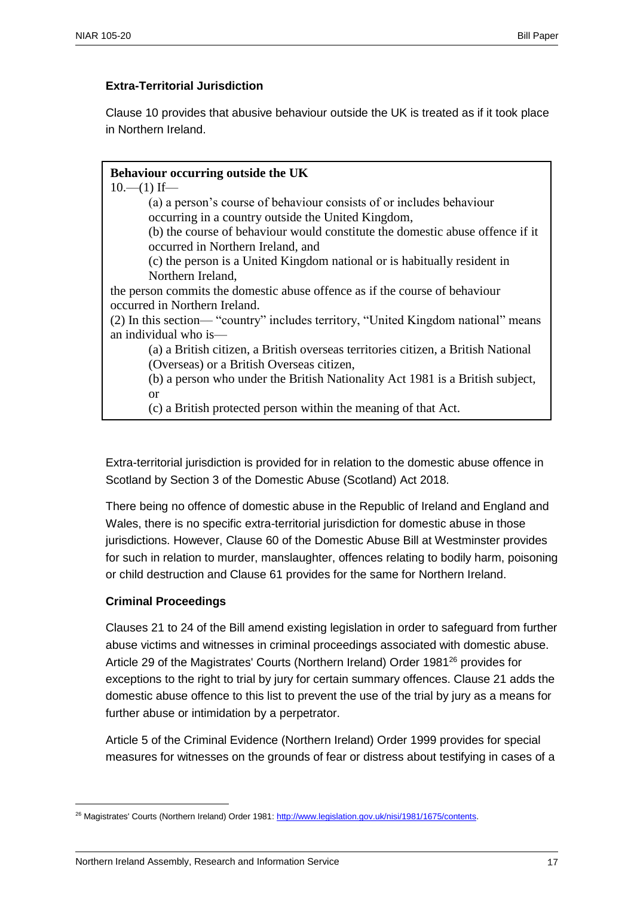#### **Extra-Territorial Jurisdiction**

Clause 10 provides that abusive behaviour outside the UK is treated as if it took place in Northern Ireland.

## **Behaviour occurring outside the UK**

 $10$ — $(1)$  If—

(a) a person's course of behaviour consists of or includes behaviour occurring in a country outside the United Kingdom,

(b) the course of behaviour would constitute the domestic abuse offence if it occurred in Northern Ireland, and

(c) the person is a United Kingdom national or is habitually resident in Northern Ireland,

the person commits the domestic abuse offence as if the course of behaviour occurred in Northern Ireland.

(2) In this section— "country" includes territory, "United Kingdom national" means an individual who is—

(a) a British citizen, a British overseas territories citizen, a British National (Overseas) or a British Overseas citizen,

(b) a person who under the British Nationality Act 1981 is a British subject,

or

(c) a British protected person within the meaning of that Act.

Extra-territorial jurisdiction is provided for in relation to the domestic abuse offence in Scotland by Section 3 of the Domestic Abuse (Scotland) Act 2018.

There being no offence of domestic abuse in the Republic of Ireland and England and Wales, there is no specific extra-territorial jurisdiction for domestic abuse in those jurisdictions. However, Clause 60 of the Domestic Abuse Bill at Westminster provides for such in relation to murder, manslaughter, offences relating to bodily harm, poisoning or child destruction and Clause 61 provides for the same for Northern Ireland.

#### **Criminal Proceedings**

 $\overline{a}$ 

Clauses 21 to 24 of the Bill amend existing legislation in order to safeguard from further abuse victims and witnesses in criminal proceedings associated with domestic abuse. Article 29 of the Magistrates' Courts (Northern Ireland) Order 1981<sup>26</sup> provides for exceptions to the right to trial by jury for certain summary offences. Clause 21 adds the domestic abuse offence to this list to prevent the use of the trial by jury as a means for further abuse or intimidation by a perpetrator.

Article 5 of the Criminal Evidence (Northern Ireland) Order 1999 provides for special measures for witnesses on the grounds of fear or distress about testifying in cases of a

<sup>&</sup>lt;sup>26</sup> Magistrates' Courts (Northern Ireland) Order 1981: http://www.legislation.gov.uk/nisi/1981/1675/contents.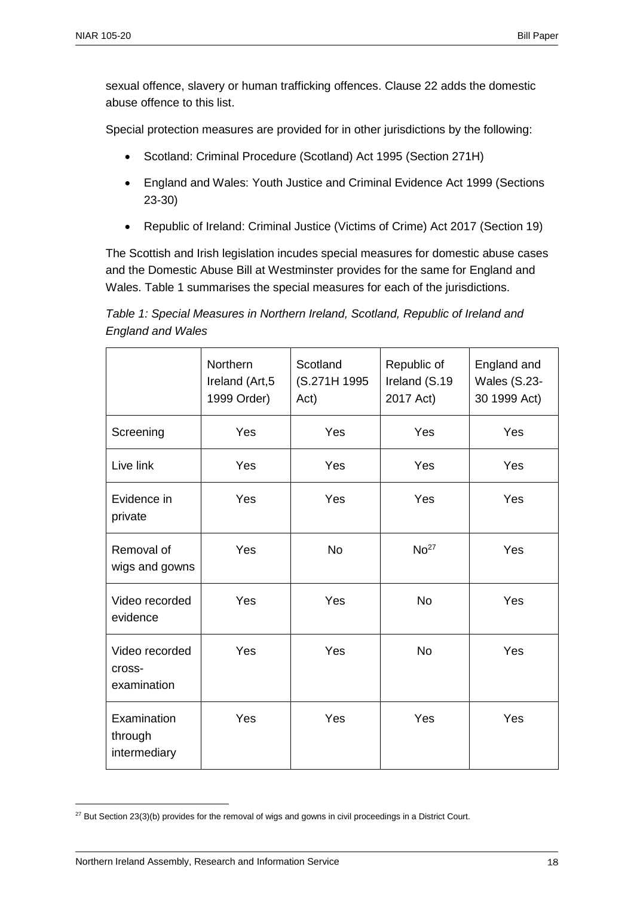sexual offence, slavery or human trafficking offences. Clause 22 adds the domestic abuse offence to this list.

Special protection measures are provided for in other jurisdictions by the following:

- Scotland: Criminal Procedure (Scotland) Act 1995 (Section 271H)
- England and Wales: Youth Justice and Criminal Evidence Act 1999 (Sections 23-30)
- Republic of Ireland: Criminal Justice (Victims of Crime) Act 2017 (Section 19)

The Scottish and Irish legislation incudes special measures for domestic abuse cases and the Domestic Abuse Bill at Westminster provides for the same for England and Wales. Table 1 summarises the special measures for each of the jurisdictions.

*Table 1: Special Measures in Northern Ireland, Scotland, Republic of Ireland and England and Wales*

|                                         | <b>Northern</b><br>Ireland (Art, 5<br>1999 Order) | Scotland<br>(S.271H 1995<br>Act) | Republic of<br>Ireland (S.19<br>2017 Act) | England and<br><b>Wales (S.23-</b><br>30 1999 Act) |
|-----------------------------------------|---------------------------------------------------|----------------------------------|-------------------------------------------|----------------------------------------------------|
| Screening                               | Yes                                               | Yes                              | Yes                                       | Yes                                                |
| Live link                               | Yes                                               | Yes                              | Yes                                       | Yes                                                |
| Evidence in<br>private                  | Yes                                               | Yes                              | Yes                                       | Yes                                                |
| Removal of<br>wigs and gowns            | Yes                                               | <b>No</b>                        | No <sup>27</sup>                          | Yes                                                |
| Video recorded<br>evidence              | Yes                                               | Yes                              | <b>No</b>                                 | Yes                                                |
| Video recorded<br>cross-<br>examination | Yes                                               | Yes                              | <b>No</b>                                 | Yes                                                |
| Examination<br>through<br>intermediary  | Yes                                               | Yes                              | Yes                                       | Yes                                                |

 $27$  But Section 23(3)(b) provides for the removal of wigs and gowns in civil proceedings in a District Court.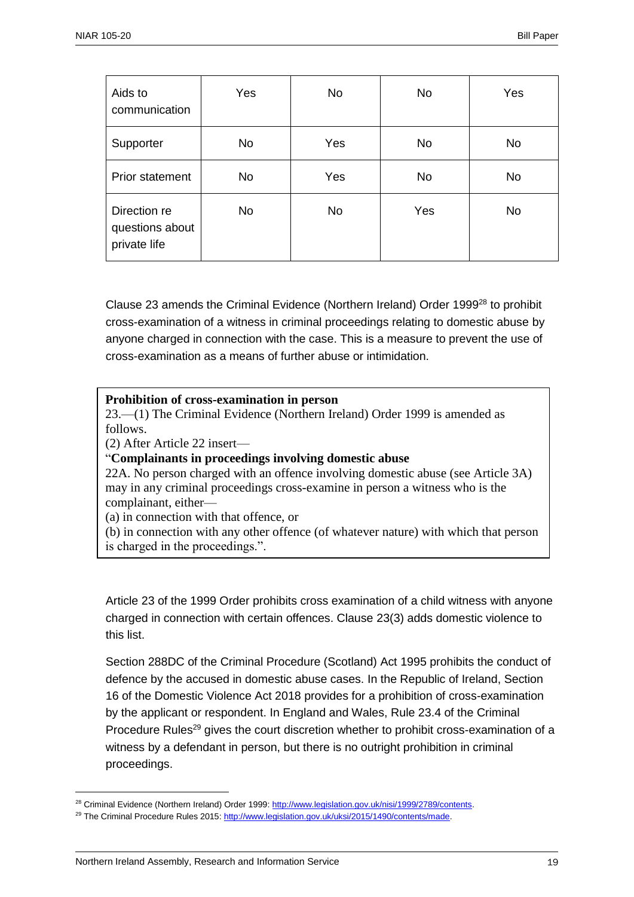| Aids to<br>communication                        | Yes       | <b>No</b> | <b>No</b> | Yes       |
|-------------------------------------------------|-----------|-----------|-----------|-----------|
| Supporter                                       | <b>No</b> | Yes       | <b>No</b> | <b>No</b> |
| Prior statement                                 | <b>No</b> | Yes       | <b>No</b> | <b>No</b> |
| Direction re<br>questions about<br>private life | <b>No</b> | <b>No</b> | Yes       | <b>No</b> |

Clause 23 amends the Criminal Evidence (Northern Ireland) Order 1999<sup>28</sup> to prohibit cross-examination of a witness in criminal proceedings relating to domestic abuse by anyone charged in connection with the case. This is a measure to prevent the use of cross-examination as a means of further abuse or intimidation.

#### **Prohibition of cross-examination in person**

23.—(1) The Criminal Evidence (Northern Ireland) Order 1999 is amended as follows.

(2) After Article 22 insert—

"**Complainants in proceedings involving domestic abuse**

22A. No person charged with an offence involving domestic abuse (see Article 3A) may in any criminal proceedings cross-examine in person a witness who is the complainant, either—

(a) in connection with that offence, or

(b) in connection with any other offence (of whatever nature) with which that person is charged in the proceedings.".

Article 23 of the 1999 Order prohibits cross examination of a child witness with anyone charged in connection with certain offences. Clause 23(3) adds domestic violence to this list.

Section 288DC of the Criminal Procedure (Scotland) Act 1995 prohibits the conduct of defence by the accused in domestic abuse cases. In the Republic of Ireland, Section 16 of the Domestic Violence Act 2018 provides for a prohibition of cross-examination by the applicant or respondent. In England and Wales, Rule 23.4 of the Criminal Procedure Rules<sup>29</sup> gives the court discretion whether to prohibit cross-examination of a witness by a defendant in person, but there is no outright prohibition in criminal proceedings.

<sup>&</sup>lt;sup>28</sup> Criminal Evidence (Northern Ireland) Order 1999: http://www.legislation.gov.uk/nisi/1999/2789/contents.

<sup>&</sup>lt;sup>29</sup> The Criminal Procedure Rules 2015: http://www.legislation.gov.uk/uksi/2015/1490/contents/made.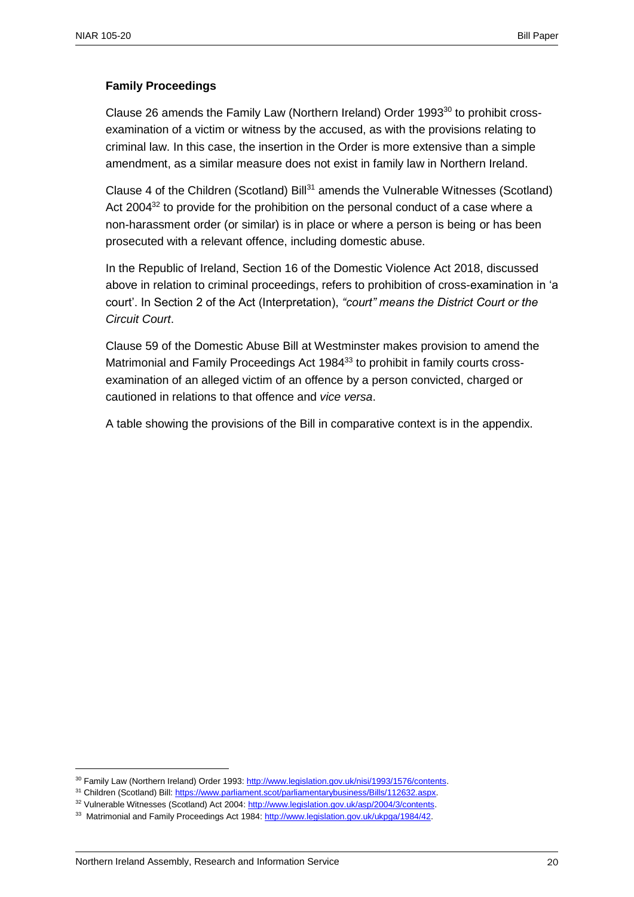#### **Family Proceedings**

Clause 26 amends the Family Law (Northern Ireland) Order 1993<sup>30</sup> to prohibit crossexamination of a victim or witness by the accused, as with the provisions relating to criminal law. In this case, the insertion in the Order is more extensive than a simple amendment, as a similar measure does not exist in family law in Northern Ireland.

Clause 4 of the Children (Scotland) Bill<sup>31</sup> amends the Vulnerable Witnesses (Scotland) Act 2004<sup>32</sup> to provide for the prohibition on the personal conduct of a case where a non-harassment order (or similar) is in place or where a person is being or has been prosecuted with a relevant offence, including domestic abuse.

In the Republic of Ireland, Section 16 of the Domestic Violence Act 2018, discussed above in relation to criminal proceedings, refers to prohibition of cross-examination in 'a court'. In Section 2 of the Act (Interpretation), *"court" means the District Court or the Circuit Court*.

Clause 59 of the Domestic Abuse Bill at Westminster makes provision to amend the Matrimonial and Family Proceedings Act 1984<sup>33</sup> to prohibit in family courts crossexamination of an alleged victim of an offence by a person convicted, charged or cautioned in relations to that offence and *vice versa*.

A table showing the provisions of the Bill in comparative context is in the appendix.

<sup>30</sup> Family Law (Northern Ireland) Order 1993[: http://www.legislation.gov.uk/nisi/1993/1576/contents.](http://www.legislation.gov.uk/nisi/1993/1576/contents) 

<sup>31</sup> Children (Scotland) Bill[: https://www.parliament.scot/parliamentarybusiness/Bills/112632.aspx.](https://www.parliament.scot/parliamentarybusiness/Bills/112632.aspx) 

<sup>32</sup> Vulnerable Witnesses (Scotland) Act 2004: [http://www.legislation.gov.uk/asp/2004/3/contents.](http://www.legislation.gov.uk/asp/2004/3/contents)

<sup>33</sup> Matrimonial and Family Proceedings Act 1984: http://www.legislation.gov.uk/ukpga/1984/42.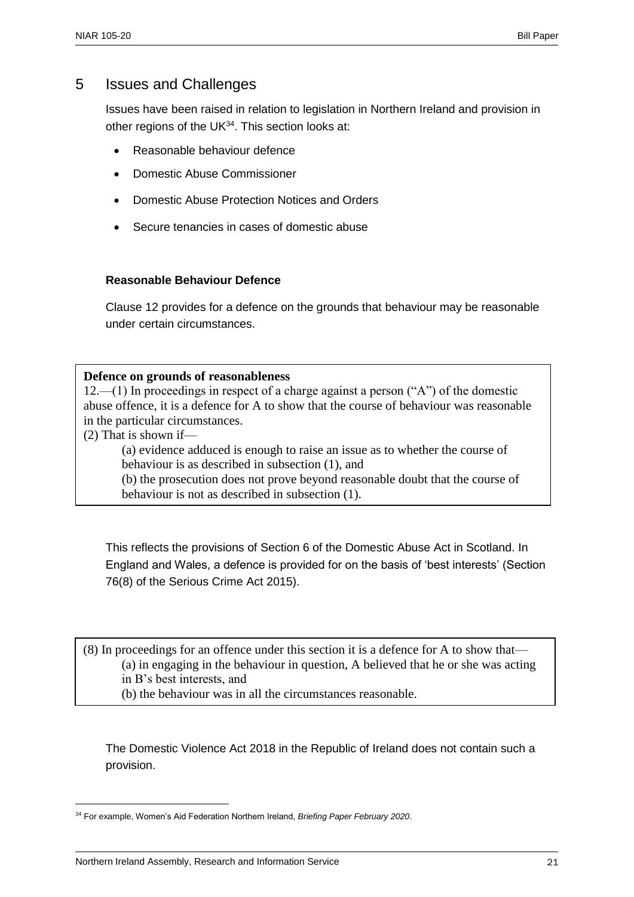#### 5 Issues and Challenges

Issues have been raised in relation to legislation in Northern Ireland and provision in other regions of the UK $34$ . This section looks at:

- Reasonable behaviour defence
- Domestic Abuse Commissioner
- Domestic Abuse Protection Notices and Orders
- Secure tenancies in cases of domestic abuse

#### **Reasonable Behaviour Defence**

Clause 12 provides for a defence on the grounds that behaviour may be reasonable under certain circumstances.

#### **Defence on grounds of reasonableness**

12.—(1) In proceedings in respect of a charge against a person ("A") of the domestic abuse offence, it is a defence for A to show that the course of behaviour was reasonable in the particular circumstances.

(2) That is shown if—

 $\overline{a}$ 

(a) evidence adduced is enough to raise an issue as to whether the course of behaviour is as described in subsection (1), and

(b) the prosecution does not prove beyond reasonable doubt that the course of behaviour is not as described in subsection (1).

This reflects the provisions of Section 6 of the Domestic Abuse Act in Scotland. In England and Wales, a defence is provided for on the basis of 'best interests' (Section 76(8) of the Serious Crime Act 2015).

(8) In proceedings for an offence under this section it is a defence for A to show that— (a) in engaging in the behaviour in question, A believed that he or she was acting in B's best interests, and (b) the behaviour was in all the circumstances reasonable.

The Domestic Violence Act 2018 in the Republic of Ireland does not contain such a provision.

<sup>34</sup> For example, Women's Aid Federation Northern Ireland, *Briefing Paper February 2020*.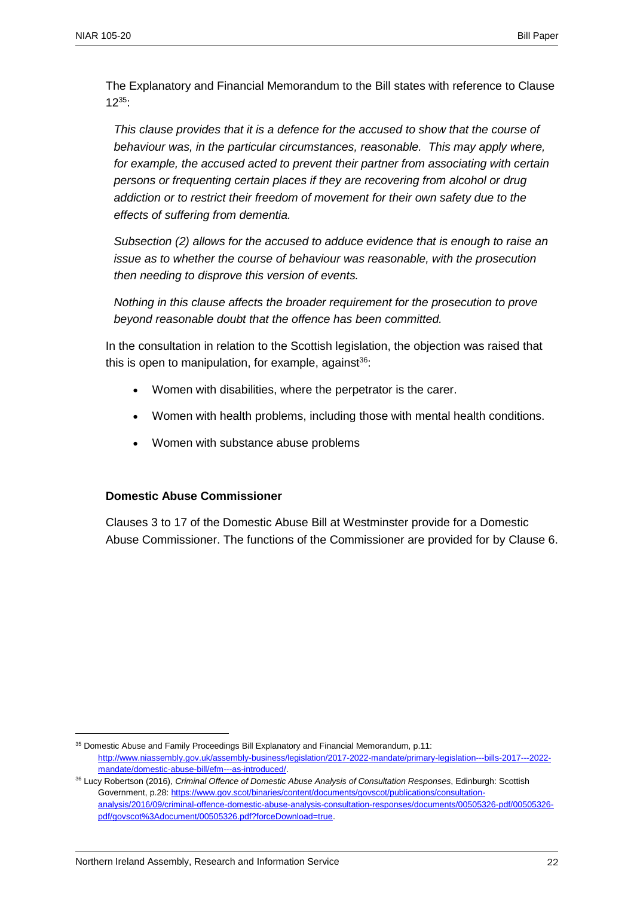The Explanatory and Financial Memorandum to the Bill states with reference to Clause  $12^{35}$ :

*This clause provides that it is a defence for the accused to show that the course of behaviour was, in the particular circumstances, reasonable. This may apply where, for example, the accused acted to prevent their partner from associating with certain persons or frequenting certain places if they are recovering from alcohol or drug addiction or to restrict their freedom of movement for their own safety due to the effects of suffering from dementia.* 

*Subsection (2) allows for the accused to adduce evidence that is enough to raise an issue as to whether the course of behaviour was reasonable, with the prosecution then needing to disprove this version of events.*

*Nothing in this clause affects the broader requirement for the prosecution to prove beyond reasonable doubt that the offence has been committed.*

In the consultation in relation to the Scottish legislation, the objection was raised that this is open to manipulation, for example, against $36$ :

- Women with disabilities, where the perpetrator is the carer.
- Women with health problems, including those with mental health conditions.
- Women with substance abuse problems

#### **Domestic Abuse Commissioner**

Clauses 3 to 17 of the Domestic Abuse Bill at Westminster provide for a Domestic Abuse Commissioner. The functions of the Commissioner are provided for by Clause 6.

<sup>&</sup>lt;sup>35</sup> Domestic Abuse and Family Proceedings Bill Explanatory and Financial Memorandum, p.11: [http://www.niassembly.gov.uk/assembly-business/legislation/2017-2022-mandate/primary-legislation---bills-2017---2022](http://www.niassembly.gov.uk/assembly-business/legislation/2017-2022-mandate/primary-legislation---bills-2017---2022-mandate/domestic-abuse-bill/efm---as-introduced/) [mandate/domestic-abuse-bill/efm---as-introduced/.](http://www.niassembly.gov.uk/assembly-business/legislation/2017-2022-mandate/primary-legislation---bills-2017---2022-mandate/domestic-abuse-bill/efm---as-introduced/)

<sup>36</sup> Lucy Robertson (2016), *Criminal Offence of Domestic Abuse Analysis of Consultation Responses*, Edinburgh: Scottish Government, p.28[: https://www.gov.scot/binaries/content/documents/govscot/publications/consultation](https://www.gov.scot/binaries/content/documents/govscot/publications/consultation-analysis/2016/09/criminal-offence-domestic-abuse-analysis-consultation-responses/documents/00505326-pdf/00505326-pdf/govscot%3Adocument/00505326.pdf?forceDownload=true)[analysis/2016/09/criminal-offence-domestic-abuse-analysis-consultation-responses/documents/00505326-pdf/00505326](https://www.gov.scot/binaries/content/documents/govscot/publications/consultation-analysis/2016/09/criminal-offence-domestic-abuse-analysis-consultation-responses/documents/00505326-pdf/00505326-pdf/govscot%3Adocument/00505326.pdf?forceDownload=true) [pdf/govscot%3Adocument/00505326.pdf?forceDownload=true.](https://www.gov.scot/binaries/content/documents/govscot/publications/consultation-analysis/2016/09/criminal-offence-domestic-abuse-analysis-consultation-responses/documents/00505326-pdf/00505326-pdf/govscot%3Adocument/00505326.pdf?forceDownload=true)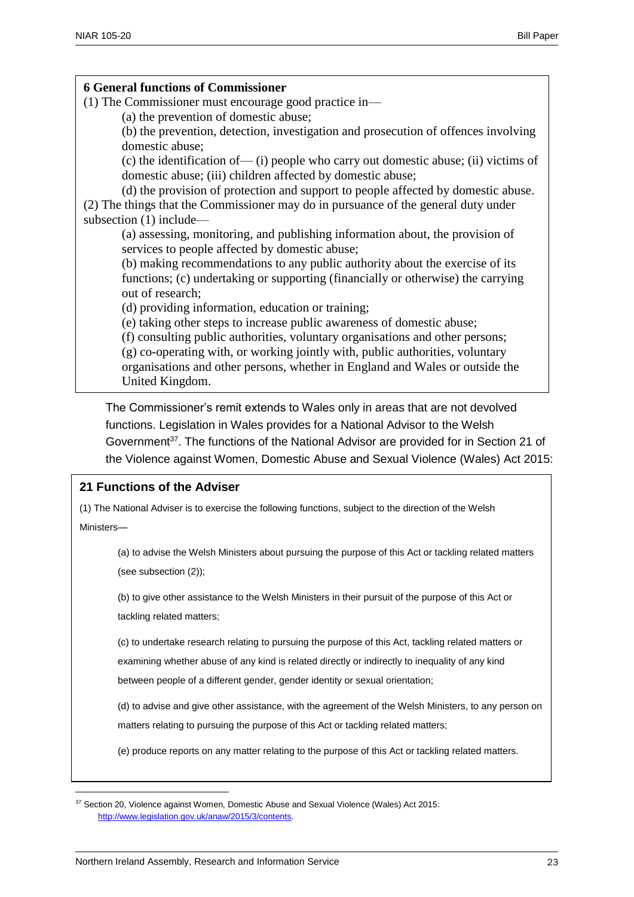#### **6 General functions of Commissioner**

- (1) The Commissioner must encourage good practice in—
	- (a) the prevention of domestic abuse;

(b) the prevention, detection, investigation and prosecution of offences involving domestic abuse;

(c) the identification of— (i) people who carry out domestic abuse; (ii) victims of domestic abuse; (iii) children affected by domestic abuse;

(d) the provision of protection and support to people affected by domestic abuse. (2) The things that the Commissioner may do in pursuance of the general duty under subsection (1) include—

(a) assessing, monitoring, and publishing information about, the provision of services to people affected by domestic abuse;

(b) making recommendations to any public authority about the exercise of its functions; (c) undertaking or supporting (financially or otherwise) the carrying out of research;

(d) providing information, education or training;

(e) taking other steps to increase public awareness of domestic abuse;

(f) consulting public authorities, voluntary organisations and other persons;

(g) co-operating with, or working jointly with, public authorities, voluntary organisations and other persons, whether in England and Wales or outside the United Kingdom.

The Commissioner's remit extends to Wales only in areas that are not devolved functions. Legislation in Wales provides for a National Advisor to the Welsh Government<sup>37</sup>. The functions of the National Advisor are provided for in Section 21 of the Violence against Women, Domestic Abuse and Sexual Violence (Wales) Act 2015:

#### **21 Functions of the Adviser**

(1) The National Adviser is to exercise the following functions, subject to the direction of the Welsh

Ministers—

 $\overline{a}$ 

(a) to advise the Welsh Ministers about pursuing the purpose of this Act or tackling related matters (see subsection (2));

(b) to give other assistance to the Welsh Ministers in their pursuit of the purpose of this Act or tackling related matters;

(c) to undertake research relating to pursuing the purpose of this Act, tackling related matters or examining whether abuse of any kind is related directly or indirectly to inequality of any kind

between people of a different gender, gender identity or sexual orientation;

(d) to advise and give other assistance, with the agreement of the Welsh Ministers, to any person on matters relating to pursuing the purpose of this Act or tackling related matters;

(e) produce reports on any matter relating to the purpose of this Act or tackling related matters.

<sup>&</sup>lt;sup>37</sup> Section 20, Violence against Women, Domestic Abuse and Sexual Violence (Wales) Act 2015: [http://www.legislation.gov.uk/anaw/2015/3/contents.](http://www.legislation.gov.uk/anaw/2015/3/contents)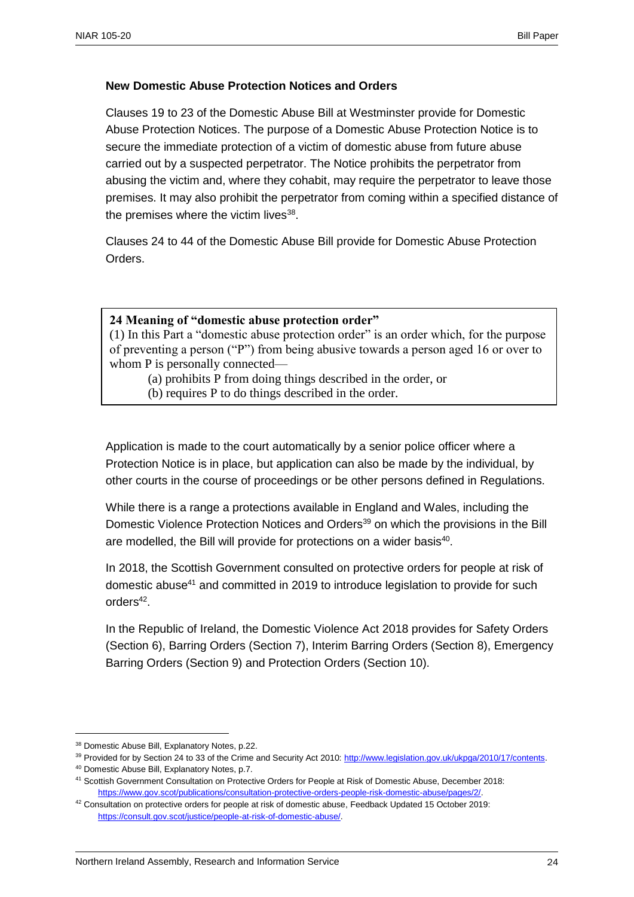#### **New Domestic Abuse Protection Notices and Orders**

Clauses 19 to 23 of the Domestic Abuse Bill at Westminster provide for Domestic Abuse Protection Notices. The purpose of a Domestic Abuse Protection Notice is to secure the immediate protection of a victim of domestic abuse from future abuse carried out by a suspected perpetrator. The Notice prohibits the perpetrator from abusing the victim and, where they cohabit, may require the perpetrator to leave those premises. It may also prohibit the perpetrator from coming within a specified distance of the premises where the victim lives<sup>38</sup>.

Clauses 24 to 44 of the Domestic Abuse Bill provide for Domestic Abuse Protection Orders.

#### **24 Meaning of "domestic abuse protection order"**

(1) In this Part a "domestic abuse protection order" is an order which, for the purpose of preventing a person ("P") from being abusive towards a person aged 16 or over to whom P is personally connected—

(a) prohibits P from doing things described in the order, or

(b) requires P to do things described in the order.

Application is made to the court automatically by a senior police officer where a Protection Notice is in place, but application can also be made by the individual, by other courts in the course of proceedings or be other persons defined in Regulations.

While there is a range a protections available in England and Wales, including the Domestic Violence Protection Notices and Orders<sup>39</sup> on which the provisions in the Bill are modelled, the Bill will provide for protections on a wider basis<sup>40</sup>.

In 2018, the Scottish Government consulted on protective orders for people at risk of domestic abuse<sup>41</sup> and committed in 2019 to introduce legislation to provide for such  $orders<sup>42</sup>.$ 

In the Republic of Ireland, the Domestic Violence Act 2018 provides for Safety Orders (Section 6), Barring Orders (Section 7), Interim Barring Orders (Section 8), Emergency Barring Orders (Section 9) and Protection Orders (Section 10).

<sup>38</sup> Domestic Abuse Bill, Explanatory Notes, p.22.

<sup>39</sup> Provided for by Section 24 to 33 of the Crime and Security Act 2010: [http://www.legislation.gov.uk/ukpga/2010/17/contents.](http://www.legislation.gov.uk/ukpga/2010/17/contents)

<sup>40</sup> Domestic Abuse Bill, Explanatory Notes, p.7.

<sup>41</sup> Scottish Government Consultation on Protective Orders for People at Risk of Domestic Abuse, December 2018: [https://www.gov.scot/publications/consultation-protective-orders-people-risk-domestic-abuse/pages/2/.](https://www.gov.scot/publications/consultation-protective-orders-people-risk-domestic-abuse/pages/2/) 

<sup>42</sup> Consultation on protective orders for people at risk of domestic abuse, Feedback Updated 15 October 2019: [https://consult.gov.scot/justice/people-at-risk-of-domestic-abuse/.](https://consult.gov.scot/justice/people-at-risk-of-domestic-abuse/)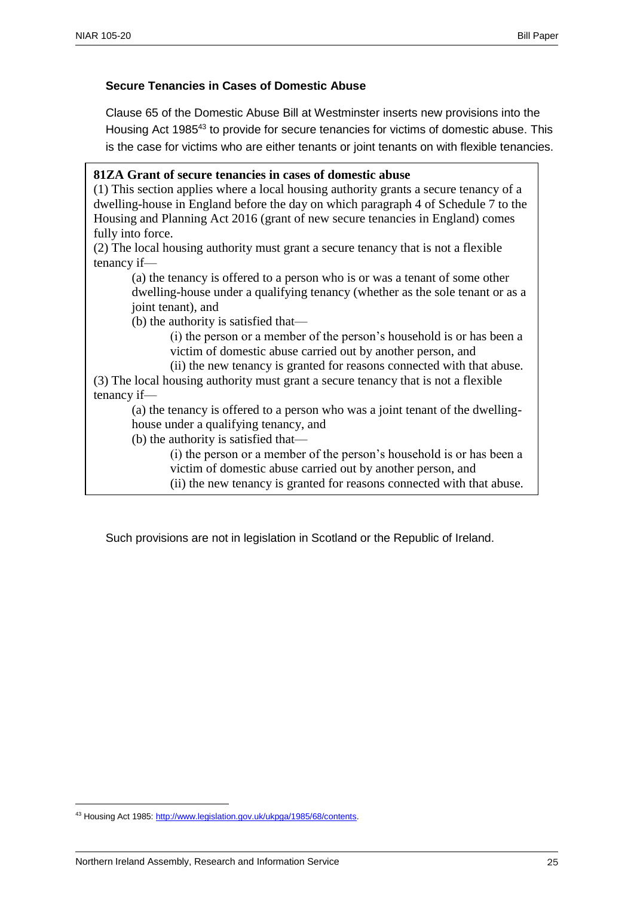#### **Secure Tenancies in Cases of Domestic Abuse**

Clause 65 of the Domestic Abuse Bill at Westminster inserts new provisions into the Housing Act 1985<sup>43</sup> to provide for secure tenancies for victims of domestic abuse. This is the case for victims who are either tenants or joint tenants on with flexible tenancies.

#### **81ZA Grant of secure tenancies in cases of domestic abuse**

(1) This section applies where a local housing authority grants a secure tenancy of a dwelling-house in England before the day on which paragraph 4 of Schedule 7 to the Housing and Planning Act 2016 (grant of new secure tenancies in England) comes fully into force.

(2) The local housing authority must grant a secure tenancy that is not a flexible tenancy if—

(a) the tenancy is offered to a person who is or was a tenant of some other dwelling-house under a qualifying tenancy (whether as the sole tenant or as a joint tenant), and

(b) the authority is satisfied that—

(i) the person or a member of the person's household is or has been a victim of domestic abuse carried out by another person, and

(ii) the new tenancy is granted for reasons connected with that abuse.

(3) The local housing authority must grant a secure tenancy that is not a flexible tenancy if—

(a) the tenancy is offered to a person who was a joint tenant of the dwellinghouse under a qualifying tenancy, and

(b) the authority is satisfied that—

(i) the person or a member of the person's household is or has been a victim of domestic abuse carried out by another person, and

(ii) the new tenancy is granted for reasons connected with that abuse.

Such provisions are not in legislation in Scotland or the Republic of Ireland.

<sup>43</sup> Housing Act 1985[: http://www.legislation.gov.uk/ukpga/1985/68/contents.](http://www.legislation.gov.uk/ukpga/1985/68/contents)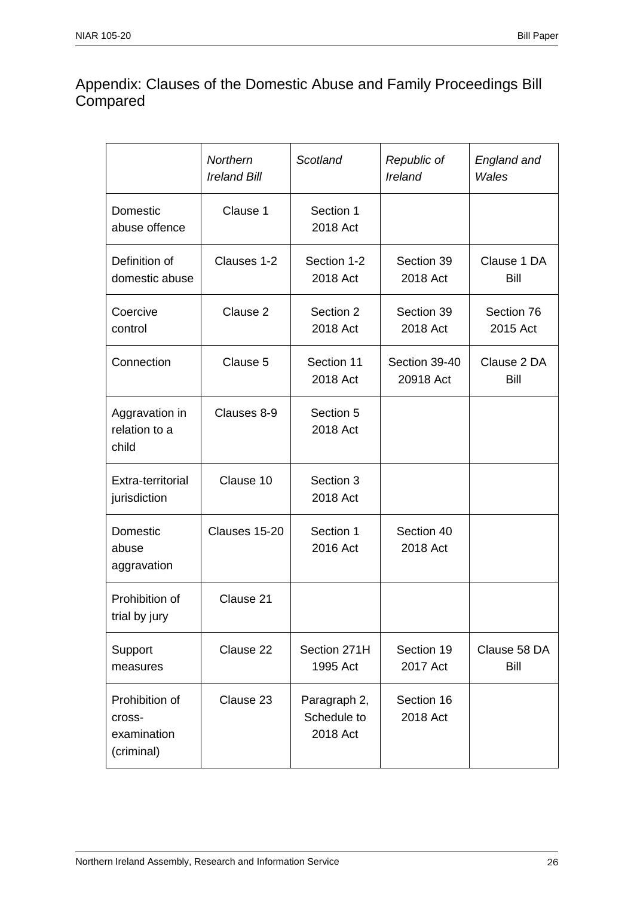## Appendix: Clauses of the Domestic Abuse and Family Proceedings Bill **Compared**

|                                                       | Northern<br><b>Ireland Bill</b> | Scotland                                | Republic of<br>Ireland     | England and<br>Wales   |
|-------------------------------------------------------|---------------------------------|-----------------------------------------|----------------------------|------------------------|
| Domestic<br>abuse offence                             | Clause 1                        | Section 1<br>2018 Act                   |                            |                        |
| Definition of<br>domestic abuse                       | Clauses 1-2                     | Section 1-2<br>2018 Act                 | Section 39<br>2018 Act     | Clause 1 DA<br>Bill    |
| Coercive<br>control                                   | Clause 2                        | Section 2<br>2018 Act                   | Section 39<br>2018 Act     | Section 76<br>2015 Act |
| Connection                                            | Clause 5                        | Section 11<br>2018 Act                  | Section 39-40<br>20918 Act | Clause 2 DA<br>Bill    |
| Aggravation in<br>relation to a<br>child              | Clauses 8-9                     | Section 5<br>2018 Act                   |                            |                        |
| Extra-territorial<br>jurisdiction                     | Clause 10                       | Section 3<br>2018 Act                   |                            |                        |
| Domestic<br>abuse<br>aggravation                      | Clauses 15-20                   | Section 1<br>2016 Act                   | Section 40<br>2018 Act     |                        |
| Prohibition of<br>trial by jury                       | Clause 21                       |                                         |                            |                        |
| Support<br>measures                                   | Clause 22                       | Section 271H<br>1995 Act                | Section 19<br>2017 Act     | Clause 58 DA<br>Bill   |
| Prohibition of<br>cross-<br>examination<br>(criminal) | Clause 23                       | Paragraph 2,<br>Schedule to<br>2018 Act | Section 16<br>2018 Act     |                        |